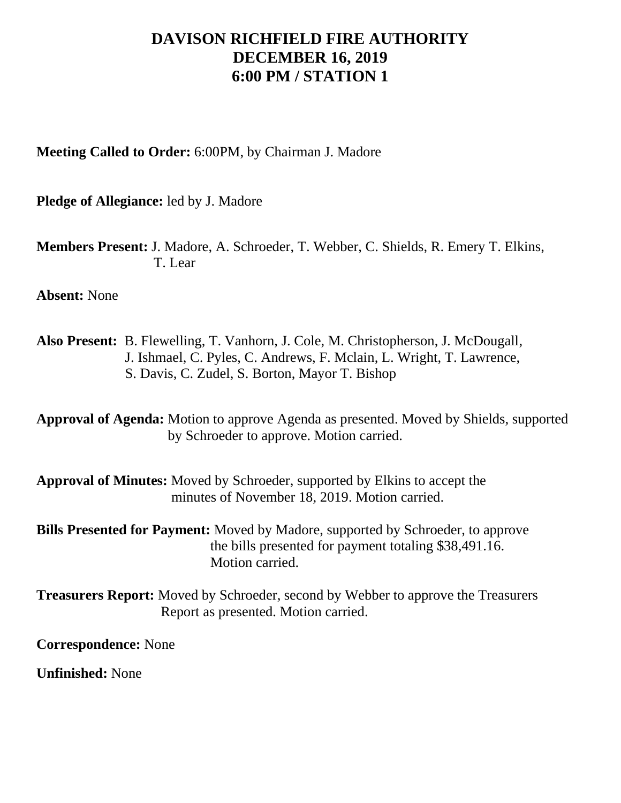## **DAVISON RICHFIELD FIRE AUTHORITY DECEMBER 16, 2019 6:00 PM / STATION 1**

**Meeting Called to Order:** 6:00PM, by Chairman J. Madore

**Pledge of Allegiance:** led by J. Madore

**Members Present:** J. Madore, A. Schroeder, T. Webber, C. Shields, R. Emery T. Elkins, T. Lear

**Absent:** None

**Also Present:** B. Flewelling, T. Vanhorn, J. Cole, M. Christopherson, J. McDougall, J. Ishmael, C. Pyles, C. Andrews, F. Mclain, L. Wright, T. Lawrence, S. Davis, C. Zudel, S. Borton, Mayor T. Bishop

**Approval of Agenda:** Motion to approve Agenda as presented. Moved by Shields, supported by Schroeder to approve. Motion carried.

**Approval of Minutes:** Moved by Schroeder, supported by Elkins to accept the minutes of November 18, 2019. Motion carried.

**Bills Presented for Payment:** Moved by Madore, supported by Schroeder, to approve the bills presented for payment totaling \$38,491.16. Motion carried.

**Treasurers Report:** Moved by Schroeder, second by Webber to approve the Treasurers Report as presented. Motion carried.

**Correspondence:** None

**Unfinished:** None